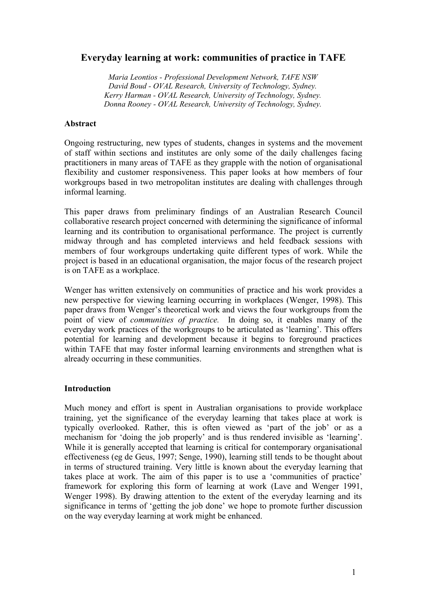# **Everyday learning at work: communities of practice in TAFE**

*Maria Leontios - Professional Development Network, TAFE NSW David Boud - OVAL Research, University of Technology, Sydney. Kerry Harman - OVAL Research, University of Technology, Sydney. Donna Rooney - OVAL Research, University of Technology, Sydney.*

#### **Abstract**

Ongoing restructuring, new types of students, changes in systems and the movement of staff within sections and institutes are only some of the daily challenges facing practitioners in many areas of TAFE as they grapple with the notion of organisational flexibility and customer responsiveness. This paper looks at how members of four workgroups based in two metropolitan institutes are dealing with challenges through informal learning.

This paper draws from preliminary findings of an Australian Research Council collaborative research project concerned with determining the significance of informal learning and its contribution to organisational performance. The project is currently midway through and has completed interviews and held feedback sessions with members of four workgroups undertaking quite different types of work. While the project is based in an educational organisation, the major focus of the research project is on TAFE as a workplace.

Wenger has written extensively on communities of practice and his work provides a new perspective for viewing learning occurring in workplaces (Wenger, 1998). This paper draws from Wenger's theoretical work and views the four workgroups from the point of view of *communities of practice.* In doing so, it enables many of the everyday work practices of the workgroups to be articulated as 'learning'. This offers potential for learning and development because it begins to foreground practices within TAFE that may foster informal learning environments and strengthen what is already occurring in these communities.

#### **Introduction**

Much money and effort is spent in Australian organisations to provide workplace training, yet the significance of the everyday learning that takes place at work is typically overlooked. Rather, this is often viewed as 'part of the job' or as a mechanism for 'doing the job properly' and is thus rendered invisible as 'learning'. While it is generally accepted that learning is critical for contemporary organisational effectiveness (eg de Geus, 1997; Senge, 1990), learning still tends to be thought about in terms of structured training. Very little is known about the everyday learning that takes place at work. The aim of this paper is to use a 'communities of practice' framework for exploring this form of learning at work (Lave and Wenger 1991, Wenger 1998). By drawing attention to the extent of the everyday learning and its significance in terms of 'getting the job done' we hope to promote further discussion on the way everyday learning at work might be enhanced.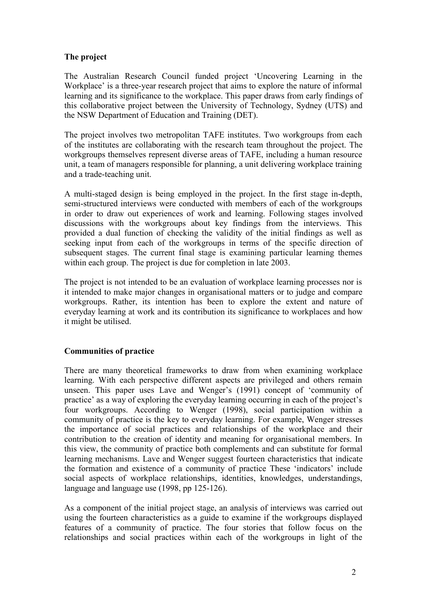# **The project**

The Australian Research Council funded project 'Uncovering Learning in the Workplace' is a three-year research project that aims to explore the nature of informal learning and its significance to the workplace. This paper draws from early findings of this collaborative project between the University of Technology, Sydney (UTS) and the NSW Department of Education and Training (DET).

The project involves two metropolitan TAFE institutes. Two workgroups from each of the institutes are collaborating with the research team throughout the project. The workgroups themselves represent diverse areas of TAFE, including a human resource unit, a team of managers responsible for planning, a unit delivering workplace training and a trade-teaching unit.

A multi-staged design is being employed in the project. In the first stage in-depth, semi-structured interviews were conducted with members of each of the workgroups in order to draw out experiences of work and learning. Following stages involved discussions with the workgroups about key findings from the interviews. This provided a dual function of checking the validity of the initial findings as well as seeking input from each of the workgroups in terms of the specific direction of subsequent stages. The current final stage is examining particular learning themes within each group. The project is due for completion in late 2003.

The project is not intended to be an evaluation of workplace learning processes nor is it intended to make major changes in organisational matters or to judge and compare workgroups. Rather, its intention has been to explore the extent and nature of everyday learning at work and its contribution its significance to workplaces and how it might be utilised.

# **Communities of practice**

There are many theoretical frameworks to draw from when examining workplace learning. With each perspective different aspects are privileged and others remain unseen. This paper uses Lave and Wenger's (1991) concept of 'community of practice' as a way of exploring the everyday learning occurring in each of the project's four workgroups. According to Wenger (1998), social participation within a community of practice is the key to everyday learning. For example, Wenger stresses the importance of social practices and relationships of the workplace and their contribution to the creation of identity and meaning for organisational members. In this view, the community of practice both complements and can substitute for formal learning mechanisms. Lave and Wenger suggest fourteen characteristics that indicate the formation and existence of a community of practice These 'indicators' include social aspects of workplace relationships, identities, knowledges, understandings, language and language use (1998, pp 125-126).

As a component of the initial project stage, an analysis of interviews was carried out using the fourteen characteristics as a guide to examine if the workgroups displayed features of a community of practice. The four stories that follow focus on the relationships and social practices within each of the workgroups in light of the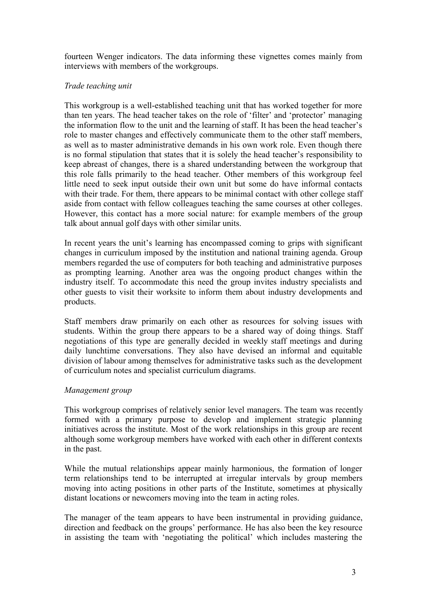fourteen Wenger indicators. The data informing these vignettes comes mainly from interviews with members of the workgroups.

### *Trade teaching unit*

This workgroup is a well-established teaching unit that has worked together for more than ten years. The head teacher takes on the role of 'filter' and 'protector' managing the information flow to the unit and the learning of staff. It has been the head teacher's role to master changes and effectively communicate them to the other staff members, as well as to master administrative demands in his own work role. Even though there is no formal stipulation that states that it is solely the head teacher's responsibility to keep abreast of changes, there is a shared understanding between the workgroup that this role falls primarily to the head teacher. Other members of this workgroup feel little need to seek input outside their own unit but some do have informal contacts with their trade. For them, there appears to be minimal contact with other college staff aside from contact with fellow colleagues teaching the same courses at other colleges. However, this contact has a more social nature: for example members of the group talk about annual golf days with other similar units.

In recent years the unit's learning has encompassed coming to grips with significant changes in curriculum imposed by the institution and national training agenda. Group members regarded the use of computers for both teaching and administrative purposes as prompting learning. Another area was the ongoing product changes within the industry itself. To accommodate this need the group invites industry specialists and other guests to visit their worksite to inform them about industry developments and products.

Staff members draw primarily on each other as resources for solving issues with students. Within the group there appears to be a shared way of doing things. Staff negotiations of this type are generally decided in weekly staff meetings and during daily lunchtime conversations. They also have devised an informal and equitable division of labour among themselves for administrative tasks such as the development of curriculum notes and specialist curriculum diagrams.

#### *Management group*

This workgroup comprises of relatively senior level managers. The team was recently formed with a primary purpose to develop and implement strategic planning initiatives across the institute. Most of the work relationships in this group are recent although some workgroup members have worked with each other in different contexts in the past.

While the mutual relationships appear mainly harmonious, the formation of longer term relationships tend to be interrupted at irregular intervals by group members moving into acting positions in other parts of the Institute, sometimes at physically distant locations or newcomers moving into the team in acting roles.

The manager of the team appears to have been instrumental in providing guidance, direction and feedback on the groups' performance. He has also been the key resource in assisting the team with 'negotiating the political' which includes mastering the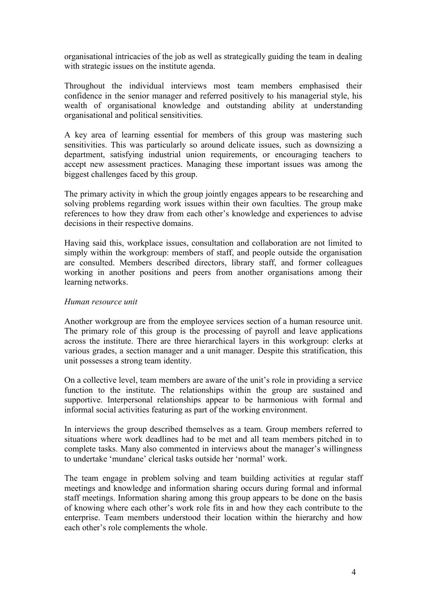organisational intricacies of the job as well as strategically guiding the team in dealing with strategic issues on the institute agenda.

Throughout the individual interviews most team members emphasised their confidence in the senior manager and referred positively to his managerial style, his wealth of organisational knowledge and outstanding ability at understanding organisational and political sensitivities.

A key area of learning essential for members of this group was mastering such sensitivities. This was particularly so around delicate issues, such as downsizing a department, satisfying industrial union requirements, or encouraging teachers to accept new assessment practices. Managing these important issues was among the biggest challenges faced by this group.

The primary activity in which the group jointly engages appears to be researching and solving problems regarding work issues within their own faculties. The group make references to how they draw from each other's knowledge and experiences to advise decisions in their respective domains.

Having said this, workplace issues, consultation and collaboration are not limited to simply within the workgroup: members of staff, and people outside the organisation are consulted. Members described directors, library staff, and former colleagues working in another positions and peers from another organisations among their learning networks.

#### *Human resource unit*

Another workgroup are from the employee services section of a human resource unit. The primary role of this group is the processing of payroll and leave applications across the institute. There are three hierarchical layers in this workgroup: clerks at various grades, a section manager and a unit manager. Despite this stratification, this unit possesses a strong team identity.

On a collective level, team members are aware of the unit's role in providing a service function to the institute. The relationships within the group are sustained and supportive. Interpersonal relationships appear to be harmonious with formal and informal social activities featuring as part of the working environment.

In interviews the group described themselves as a team. Group members referred to situations where work deadlines had to be met and all team members pitched in to complete tasks. Many also commented in interviews about the manager's willingness to undertake 'mundane' clerical tasks outside her 'normal' work.

The team engage in problem solving and team building activities at regular staff meetings and knowledge and information sharing occurs during formal and informal staff meetings. Information sharing among this group appears to be done on the basis of knowing where each other's work role fits in and how they each contribute to the enterprise. Team members understood their location within the hierarchy and how each other's role complements the whole.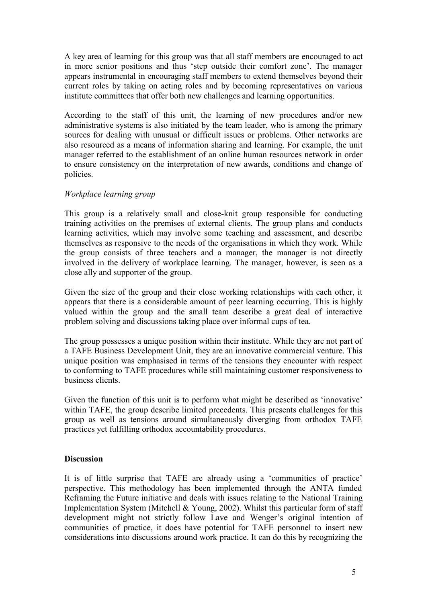A key area of learning for this group was that all staff members are encouraged to act in more senior positions and thus 'step outside their comfort zone'. The manager appears instrumental in encouraging staff members to extend themselves beyond their current roles by taking on acting roles and by becoming representatives on various institute committees that offer both new challenges and learning opportunities.

According to the staff of this unit, the learning of new procedures and/or new administrative systems is also initiated by the team leader, who is among the primary sources for dealing with unusual or difficult issues or problems. Other networks are also resourced as a means of information sharing and learning. For example, the unit manager referred to the establishment of an online human resources network in order to ensure consistency on the interpretation of new awards, conditions and change of policies.

### *Workplace learning group*

This group is a relatively small and close-knit group responsible for conducting training activities on the premises of external clients. The group plans and conducts learning activities, which may involve some teaching and assessment, and describe themselves as responsive to the needs of the organisations in which they work. While the group consists of three teachers and a manager, the manager is not directly involved in the delivery of workplace learning. The manager, however, is seen as a close ally and supporter of the group.

Given the size of the group and their close working relationships with each other, it appears that there is a considerable amount of peer learning occurring. This is highly valued within the group and the small team describe a great deal of interactive problem solving and discussions taking place over informal cups of tea.

The group possesses a unique position within their institute. While they are not part of a TAFE Business Development Unit, they are an innovative commercial venture. This unique position was emphasised in terms of the tensions they encounter with respect to conforming to TAFE procedures while still maintaining customer responsiveness to business clients.

Given the function of this unit is to perform what might be described as 'innovative' within TAFE, the group describe limited precedents. This presents challenges for this group as well as tensions around simultaneously diverging from orthodox TAFE practices yet fulfilling orthodox accountability procedures.

# **Discussion**

It is of little surprise that TAFE are already using a 'communities of practice' perspective. This methodology has been implemented through the ANTA funded Reframing the Future initiative and deals with issues relating to the National Training Implementation System (Mitchell & Young, 2002). Whilst this particular form of staff development might not strictly follow Lave and Wenger's original intention of communities of practice, it does have potential for TAFE personnel to insert new considerations into discussions around work practice. It can do this by recognizing the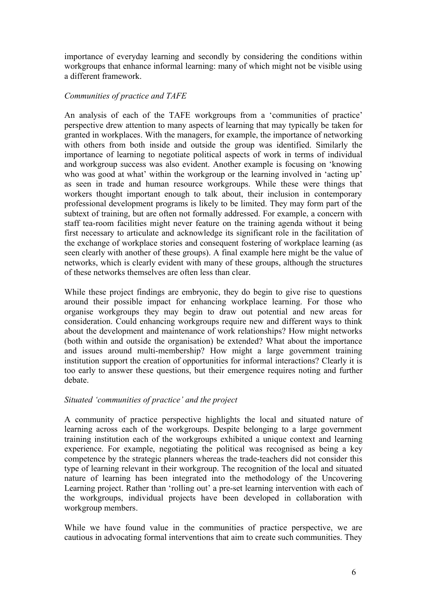importance of everyday learning and secondly by considering the conditions within workgroups that enhance informal learning: many of which might not be visible using a different framework.

### *Communities of practice and TAFE*

An analysis of each of the TAFE workgroups from a 'communities of practice' perspective drew attention to many aspects of learning that may typically be taken for granted in workplaces. With the managers, for example, the importance of networking with others from both inside and outside the group was identified. Similarly the importance of learning to negotiate political aspects of work in terms of individual and workgroup success was also evident. Another example is focusing on 'knowing who was good at what' within the workgroup or the learning involved in 'acting up' as seen in trade and human resource workgroups. While these were things that workers thought important enough to talk about, their inclusion in contemporary professional development programs is likely to be limited. They may form part of the subtext of training, but are often not formally addressed. For example, a concern with staff tea-room facilities might never feature on the training agenda without it being first necessary to articulate and acknowledge its significant role in the facilitation of the exchange of workplace stories and consequent fostering of workplace learning (as seen clearly with another of these groups). A final example here might be the value of networks, which is clearly evident with many of these groups, although the structures of these networks themselves are often less than clear.

While these project findings are embryonic, they do begin to give rise to questions around their possible impact for enhancing workplace learning. For those who organise workgroups they may begin to draw out potential and new areas for consideration. Could enhancing workgroups require new and different ways to think about the development and maintenance of work relationships? How might networks (both within and outside the organisation) be extended? What about the importance and issues around multi-membership? How might a large government training institution support the creation of opportunities for informal interactions? Clearly it is too early to answer these questions, but their emergence requires noting and further debate.

#### *Situated 'communities of practice' and the project*

A community of practice perspective highlights the local and situated nature of learning across each of the workgroups. Despite belonging to a large government training institution each of the workgroups exhibited a unique context and learning experience. For example, negotiating the political was recognised as being a key competence by the strategic planners whereas the trade-teachers did not consider this type of learning relevant in their workgroup. The recognition of the local and situated nature of learning has been integrated into the methodology of the Uncovering Learning project. Rather than 'rolling out' a pre-set learning intervention with each of the workgroups, individual projects have been developed in collaboration with workgroup members.

While we have found value in the communities of practice perspective, we are cautious in advocating formal interventions that aim to create such communities. They